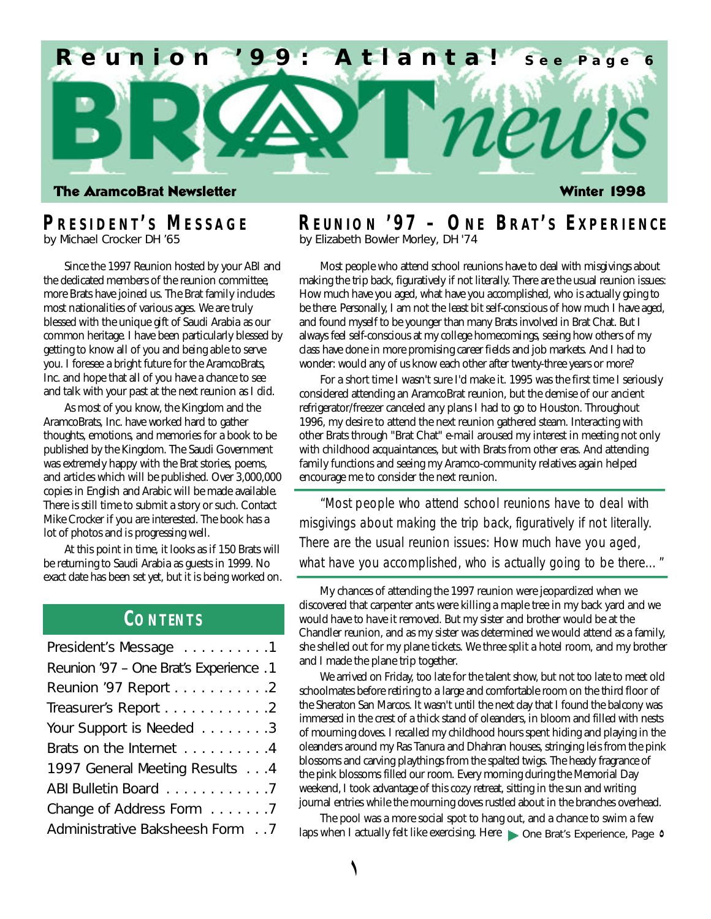

# **P R E S I D E N T ' <sup>S</sup> M E S S A G E**

by Michael Crocker DH '65

Since the 1997 Reunion hosted by your ABI and the dedicated members of the reunion committee, more Brats have joined us. The Brat family includes most nationalities of various ages. We are truly blessed with the unique gift of Saudi Arabia as our common heritage. I have been particularly blessed by getting to know all of you and being able to serve you. I foresee a bright future for the AramcoBrats, Inc. and hope that all of you have a chance to see and talk with your past at the next reunion as I did.

As most of you know, the Kingdom and the AramcoBrats, Inc. have worked hard to gather thoughts, emotions, and memories for a book to be published by the Kingdom. The Saudi Government was extremely happy with the Brat stories, poems, and articles which will be published. Over 3,000,000 copies in English and Arabic will be made available. There is still time to submit a story or such. Contact Mike Crocker if you are interested. The book has a lot of photos and is progressing well.

At this point in time, it looks as if 150 Brats will be returning to Saudi Arabia as guests in 1999. No exact date has been set yet, but it is being worked on.

## **CO N T EN T S**

| President's Message 1                  |  |
|----------------------------------------|--|
| Reunion '97 - One Brat's Experience .1 |  |
| Reunion '97 Report 2                   |  |
| Treasurer's Report 2                   |  |
| Your Support is Needed 3               |  |
| Brats on the Internet 4                |  |
| 1997 General Meeting Results 4         |  |
| ABI Bulletin Board 7                   |  |
| Change of Address Form 7               |  |
| Administrative Baksheesh Form 7        |  |

### **R E U N I O N '9 7 – ON E BR AT ' <sup>S</sup> E X P E R I E N C <sup>E</sup>** by Elizabeth Bowler Morley, DH '74

Most people who attend school reunions have to deal with misgivings about making the trip back, figuratively if not literally. There are the usual reunion issues: How much have you aged, what have you accomplished, who is actually going to be there. Personally, I am not the least bit self-conscious of how much I have aged, and found myself to be younger than many Brats involved in Brat Chat. But I always feel self-conscious at my college homecomings, seeing how others of my class have done in more promising career fields and job markets. And I had to wonder: would any of us know each other after twenty-three years or more?

For a short time I wasn't sure I'd make it. 1995 was the first time I seriously considered attending an AramcoBrat reunion, but the demise of our ancient refrigerator/freezer canceled any plans I had to go to Houston. Throughout 1996, my desire to attend the next reunion gathered steam. Interacting with other Brats through "Brat Chat" e-mail aroused my interest in meeting not only with childhood acquaintances, but with Brats from other eras. And attending family functions and seeing my Aramco-community relatives again helped encourage me to consider the next reunion.

"Most people who attend school reunions have to deal with misgivings about making the trip back, figuratively if not literally. There are the usual reunion issues: How much have you aged, what have you accomplished, who is actually going to be there..."

My chances of attending the 1997 reunion were jeopardized when we discovered that carpenter ants were killing a maple tree in my back yard and we would have to have it removed. But my sister and brother would be at the Chandler reunion, and as my sister was determined we would attend as a family, she shelled out for my plane tickets. We three split a hotel room, and my brother and I made the plane trip together.

We arrived on Friday, too late for the talent show, but not too late to meet old schoolmates before retiring to a large and comfortable room on the third floor of the Sheraton San Marcos. It wasn't until the next day that I found the balcony was immersed in the crest of a thick stand of oleanders, in bloom and filled with nests of mourning doves. I recalled my childhood hours spent hiding and playing in the oleanders around my Ras Tanura and Dhahran houses, stringing leis from the pink blossoms and carving playthings from the spalted twigs. The heady fragrance of the pink blossoms filled our room. Every morning during the Memorial Day weekend, I took advantage of this cozy retreat, sitting in the sun and writing journal entries while the mourning doves rustled about in the branches overhead.

The pool was a more social spot to hang out, and a chance to swim a few Administrative Baksheesh Form . . 7 *laps when I actually felt like exercising*. Here *none Brat's Experience, Page* **0**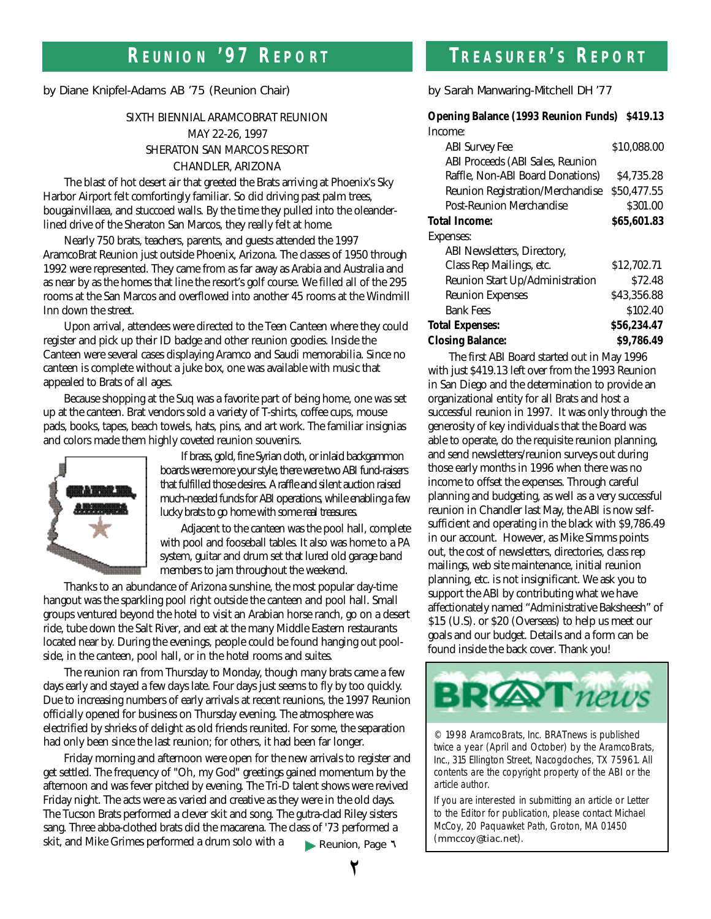## **R E U N I O N '9 7 R E P O R <sup>T</sup> T R E A S U R E R ' <sup>S</sup> R E P O R <sup>T</sup>**

by Diane Knipfel-Adams AB '75 (Reunion Chair)

### SIXTH BIENNIAL ARAMCOBRAT REUNION MAY 22-26, 1997 SHERATON SAN MARCOS RESORT CHANDLER, ARIZONA

The blast of hot desert air that greeted the Brats arriving at Phoenix's Sky Harbor Airport felt comfortingly familiar. So did driving past palm trees, bougainvillaea, and stuccoed walls. By the time they pulled into the oleanderlined drive of the Sheraton San Marcos, they really felt at home.

Nearly 750 brats, teachers, parents, and guests attended the 1997 AramcoBrat Reunion just outside Phoenix, Arizona. The classes of 1950 through 1992 were represented. They came from as far away as Arabia and Australia and as near by as the homes that line the resort's golf course. We filled all of the 295 rooms at the San Marcos and overflowed into another 45 rooms at the Windmill Inn down the street.

Upon arrival, attendees were directed to the Teen Canteen where they could register and pick up their ID badge and other reunion goodies. Inside the Canteen were several cases displaying Aramco and Saudi memorabilia. Since no canteen is complete without a juke box, one was available with music that appealed to Brats of all ages.

Because shopping at the Suq was a favorite part of being home, one was set up at the canteen. Brat vendors sold a variety of T-shirts, coffee cups, mouse pads, books, tapes, beach towels, hats, pins, and art work. The familiar insignias and colors made them highly coveted reunion souvenirs.



If brass, gold, fine Syrian cloth, or inlaid backgammon boards were more your style, there were two ABI fund-raisers that fulfilled those desires. A raffle and silent auction raised much-needed funds for ABI operations, while enabling a few lucky brats to go home with some real treasures.

Adjacent to the canteen was the pool hall, complete with pool and fooseball tables. It also was home to a PA system, guitar and drum set that lured old garage band members to jam throughout the weekend.

Thanks to an abundance of Arizona sunshine, the most popular day-time hangout was the sparkling pool right outside the canteen and pool hall. Small groups ventured beyond the hotel to visit an Arabian horse ranch, go on a desert ride, tube down the Salt River, and eat at the many Middle Eastern restaurants located near by. During the evenings, people could be found hanging out poolside, in the canteen, pool hall, or in the hotel rooms and suites.

The reunion ran from Thursday to Monday, though many brats came a few days early and stayed a few days late. Four days just seems to fly by too quickly. Due to increasing numbers of early arrivals at recent reunions, the 1997 Reunion officially opened for business on Thursday evening. The atmosphere was electrified by shrieks of delight as old friends reunited. For some, the separation had only been since the last reunion; for others, it had been far longer.

Friday morning and afternoon were open for the new arrivals to register and get settled. The frequency of "Oh, my God" greetings gained momentum by the afternoon and was fever pitched by evening. The Tri-D talent shows were revived Friday night. The acts were as varied and creative as they were in the old days. The Tucson Brats performed a clever skit and song. The gutra-clad Riley sisters sang. Three abba-clothed brats did the macarena. The class of '73 performed a skit, and Mike Grimes performed a drum solo with a **Reunion**, Page 1

by Sarah Manwaring-Mitchell DH '77

#### **Opening Balance (1993 Reunion Funds) \$419.13** Income:

| <b>ABI</b> Survey Fee                   | \$10,088.00 |
|-----------------------------------------|-------------|
| ABI Proceeds (ABI Sales, Reunion        |             |
| Raffle, Non-ABI Board Donations)        | \$4.735.28  |
| <b>Reunion Registration/Merchandise</b> | \$50.477.55 |
| <b>Post-Reunion Merchandise</b>         | \$301.00    |
| <b>Total Income:</b>                    | \$65,601.83 |
| Expenses:                               |             |
| ABI Newsletters, Directory,             |             |
| Class Rep Mailings, etc.                | \$12,702.71 |
| Reunion Start Up/Administration         | \$72.48     |
| <b>Reunion Expenses</b>                 | \$43,356.88 |
| <b>Bank Fees</b>                        | \$102.40    |
| <b>Total Expenses:</b>                  | \$56,234.47 |
| <b>Closing Balance:</b>                 | \$9.786.49  |
|                                         |             |

The first ABI Board started out in May 1996 with just \$419.13 left over from the 1993 Reunion in San Diego and the determination to provide an organizational entity for all Brats and host a successful reunion in 1997. It was only through the generosity of key individuals that the Board was able to operate, do the requisite reunion planning, and send newsletters/reunion surveys out during those early months in 1996 when there was no income to offset the expenses. Through careful planning and budgeting, as well as a very successful reunion in Chandler last May, the ABI is now selfsufficient and operating in the black with \$9,786.49 in our account. However, as Mike Simms points out, the cost of newsletters, directories, class rep mailings, web site maintenance, initial reunion planning, etc. is not insignificant. We ask you to support the ABI by contributing what we have affectionately named "Administrative Baksheesh" of \$15 (U.S). or \$20 (Overseas) to help us meet our goals and our budget. Details and a form can be found inside the back cover. Thank you!



© 1998 AramcoBrats, Inc. BRATnews is published twice a year (April and October) by the AramcoBrats, Inc., 315 Ellington Street, Nacogdoches, TX 75961. All contents are the copyright property of the ABI or the article author.

If you are interested in submitting an article or Letter to the Editor for publication, please contact Michael McCoy, 20 Paquawket Path, Groton, MA 01450 (mmccoy@tiac.net).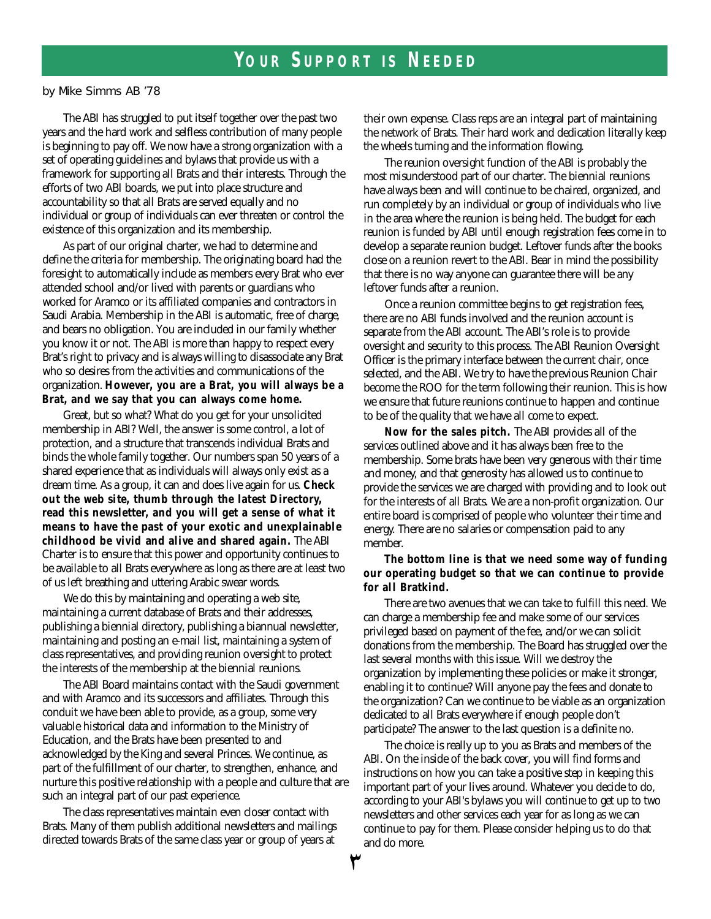by Mike Simms AB '78

The ABI has struggled to put itself together over the past two years and the hard work and selfless contribution of many people is beginning to pay off. We now have a strong organization with a set of operating guidelines and bylaws that provide us with a framework for supporting all Brats and their interests. Through the efforts of two ABI boards, we put into place structure and accountability so that all Brats are served equally and no individual or group of individuals can ever threaten or control the existence of this organization and its membership.

As part of our original charter, we had to determine and define the criteria for membership. The originating board had the foresight to automatically include as members every Brat who ever attended school and/or lived with parents or guardians who worked for Aramco or its affiliated companies and contractors in Saudi Arabia. Membership in the ABI is automatic, free of charge, and bears no obligation. You are included in our family whether you know it or not. The ABI is more than happy to respect every Brat's right to privacy and is always willing to disassociate any Brat who so desires from the activities and communications of the organization. However, you are a Brat, you will always be a Brat, and we say that you can always come home.

Great, but so what? What do you get for your unsolicited membership in ABI? Well, the answer is some control, a lot of protection, and a structure that transcends individual Brats and binds the whole family together. Our numbers span 50 years of a shared experience that as individuals will always only exist as a dream time. As a group, it can and does live again for us. Check **out the web site, thumb through the latest Directory,** read this newsletter, and you will get a sense of what it **means to have the past of your exotic and unexplainable** childhood be vivid and alive and shared again. The ABI Charter is to ensure that this power and opportunity continues to be available to all Brats everywhere as long as there are at least two of us left breathing and uttering Arabic swear words.

We do this by maintaining and operating a web site, maintaining a current database of Brats and their addresses, publishing a biennial directory, publishing a biannual newsletter, maintaining and posting an e-mail list, maintaining a system of class representatives, and providing reunion oversight to protect the interests of the membership at the biennial reunions.

The ABI Board maintains contact with the Saudi government and with Aramco and its successors and affiliates. Through this conduit we have been able to provide, as a group, some very valuable historical data and information to the Ministry of Education, and the Brats have been presented to and acknowledged by the King and several Princes. We continue, as part of the fulfillment of our charter, to strengthen, enhance, and nurture this positive relationship with a people and culture that are such an integral part of our past experience.

The class representatives maintain even closer contact with Brats. Many of them publish additional newsletters and mailings directed towards Brats of the same class year or group of years at

their own expense. Class reps are an integral part of maintaining the network of Brats. Their hard work and dedication literally keep the wheels turning and the information flowing.

The reunion oversight function of the ABI is probably the most misunderstood part of our charter. The biennial reunions have always been and will continue to be chaired, organized, and run completely by an individual or group of individuals who live in the area where the reunion is being held. The budget for each reunion is funded by ABI until enough registration fees come in to develop a separate reunion budget. Leftover funds after the books close on a reunion revert to the ABI. Bear in mind the possibility that there is no way anyone can guarantee there will be any leftover funds after a reunion.

Once a reunion committee begins to get registration fees, there are no ABI funds involved and the reunion account is separate from the ABI account. The ABI's role is to provide oversight and security to this process. The ABI Reunion Oversight Officer is the primary interface between the current chair, once selected, and the ABI. We try to have the previous Reunion Chair become the ROO for the term following their reunion. This is how we ensure that future reunions continue to happen and continue to be of the quality that we have all come to expect.

Now for the sales pitch. The ABI provides all of the services outlined above and it has always been free to the membership. Some brats have been very generous with their time and money, and that generosity has allowed us to continue to provide the services we are charged with providing and to look out for the interests of all Brats. We are a non-profit organization. Our entire board is comprised of people who volunteer their time and energy. There are no salaries or compensation paid to any member.

#### The bottom line is that we need some way of funding **our operating budget so that we can continue to provide for all Bratkind.**

There are two avenues that we can take to fulfill this need. We can charge a membership fee and make some of our services privileged based on payment of the fee, and/or we can solicit donations from the membership. The Board has struggled over the last several months with this issue. Will we destroy the organization by implementing these policies or make it stronger, enabling it to continue? Will anyone pay the fees and donate to the organization? Can we continue to be viable as an organization dedicated to all Brats everywhere if enough people don't participate? The answer to the last question is a definite no.

The choice is really up to you as Brats and members of the ABI. On the inside of the back cover, you will find forms and instructions on how you can take a positive step in keeping this important part of your lives around. Whatever you decide to do, according to your ABI's bylaws you will continue to get up to two newsletters and other services each year for as long as we can continue to pay for them. Please consider helping us to do that and do more.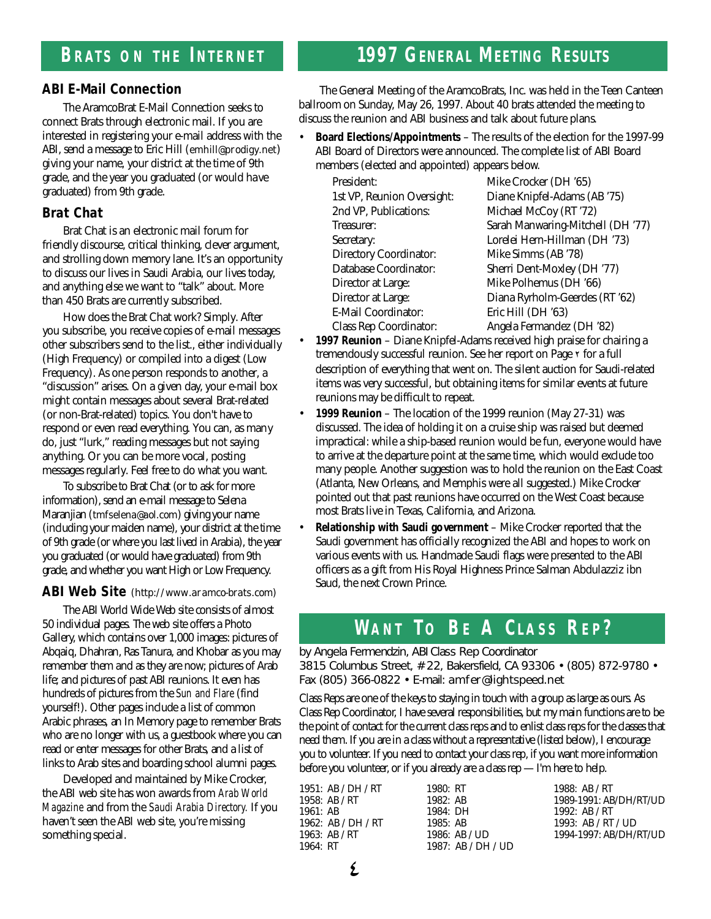### **ABI E-Mail Connection**

The AramcoBrat E-Mail Connection seeks to connect Brats through electronic mail. If you are interested in registering your e-mail address with the ABI, send a message to Eric Hill (emhill@prodigy.net) giving your name, your district at the time of 9th grade, and the year you graduated (or would have graduated) from 9th grade.

### **Brat Chat**

Brat Chat is an electronic mail forum for friendly discourse, critical thinking, clever argument, and strolling down memory lane. It's an opportunity to discuss our lives in Saudi Arabia, our lives today, and anything else we want to "talk" about. More than 450 Brats are currently subscribed.

How does the Brat Chat work? Simply. After you subscribe, you receive copies of e-mail messages other subscribers send to the list., either individually (High Frequency) or compiled into a digest (Low Frequency). As one person responds to another, a "discussion" arises. On a given day, your e-mail box might contain messages about several Brat-related (or non-Brat-related) topics. You don't have to respond or even read everything. You can, as many do, just "lurk," reading messages but not saying anything. Or you can be more vocal, posting messages regularly. Feel free to do what you want.

To subscribe to Brat Chat (or to ask for more information), send an e-mail message to Selena Maranjian (tmfselena@aol.com) giving your name (including your maiden name), your district at the time of 9th grade (or where you last lived in Arabia), the year you graduated (or would have graduated) from 9th grade, and whether you want High or Low Frequency.

**ABI Web Site** (http://www.aramco-brats.com)

The ABI World Wide Web site consists of almost 50 individual pages. The web site offers a Photo Gallery, which contains over 1,000 images: pictures of Abqaiq, Dhahran, Ras Tanura, and Khobar as you may remember them and as they are now; pictures of Arab life; and pictures of past ABI reunions. It even has hundreds of pictures from the *Sun and Flare* (find yourself!). Other pages include a list of common Arabic phrases, an In Memory page to remember Brats who are no longer with us, a guestbook where you can read or enter messages for other Brats, and a list of links to Arab sites and boarding school alumni pages.

Developed and maintained by Mike Crocker, the ABI web site has won awards from *Arab World Magazine* and from the *Saudi Arabia Directory.* If you haven't seen the ABI web site, you're missing something special.

# **1997 GENERAL MEETING RESULTS**

The General Meeting of the AramcoBrats, Inc. was held in the Teen Canteen ballroom on Sunday, May 26, 1997. About 40 brats attended the meeting to discuss the reunion and ABI business and talk about future plans.

• **Board Elections/Appointments** – The results of the election for the 1997-99 ABI Board of Directors were announced. The complete list of ABI Board members (elected and appointed) appears below.

President: Mike Crocker (DH '65) 2nd VP, Publications: Michael McCoy (RT '72) Directory Coordinator: Mike Simms (AB '78) Director at Large: Mike Polhemus (DH '66) E-Mail Coordinator: Eric Hill (DH '63) Class Rep Coordinator: Angela Fermandez (DH '82)

1st VP, Reunion Oversight: Diane Knipfel-Adams (AB '75) Treasurer: Sarah Manwaring-Mitchell (DH '77) Secretary: Lorelei Hern-Hillman (DH '73) Database Coordinator: Sherri Dent-Moxley (DH '77) Director at Large: Diana Ryrholm-Geerdes (RT '62)

- **1997 Reunion** Diane Knipfel-Adams received high praise for chairing a tremendously successful reunion. See her report on Page ² for a full description of everything that went on. The silent auction for Saudi-related items was very successful, but obtaining items for similar events at future reunions may be difficult to repeat.
- **1999 Reunion** The location of the 1999 reunion (May 27-31) was discussed. The idea of holding it on a cruise ship was raised but deemed impractical: while a ship-based reunion would be fun, everyone would have to arrive at the departure point at the same time, which would exclude too many people. Another suggestion was to hold the reunion on the East Coast (Atlanta, New Orleans, and Memphis were all suggested.) Mike Crocker pointed out that past reunions have occurred on the West Coast because most Brats live in Texas, California, and Arizona.
- **Relationship with Saudi government**  Mike Crocker reported that the Saudi government has officially recognized the ABI and hopes to work on various events with us. Handmade Saudi flags were presented to the ABI officers as a gift from His Royal Highness Prince Salman Abdulazziz ibn Saud, the next Crown Prince.

## **WA N T T <sup>O</sup> B <sup>E</sup> A C L A S S R E P ?**

by Angela Fermendzin, ABI Class Rep Coordinator 3815 Columbus Street, # 22, Bakersfield, CA 93306 • (805) 872-9780 • Fax (805) 366-0822 • E-mail: amfer@lightspeed.net

Class Reps are one of the keys to staying in touch with a group as large as ours. As Class Rep Coordinator, I have several responsibilities, but my main functions are to be the point of contact for the current class reps and to enlist class reps for the classes that need them. If you are in a class without a representative (listed below), I encourage you to volunteer. If you need to contact your class rep, if you want more information before you volunteer, or if you already are a class  $rep - I'm$  here to help.

| 1951: AB / DH / RT | 1980: RT             | 1988: $AB / RT$        |
|--------------------|----------------------|------------------------|
| 1958: $AB/RT$      | 1982:AB              | 1989-1991: AB/DH/RT/UD |
| 1961:AB            | 1984: DH             | 1992: $AB / RT$        |
| 1962: AB / DH / RT | 1985:AB              | 1993: AB / RT / UD     |
| 1963: AB / $RT$    | $1986:$ AB / UD      | 1994-1997: AB/DH/RT/UD |
| 1964: RT           | 1987: $AB / DH / UD$ |                        |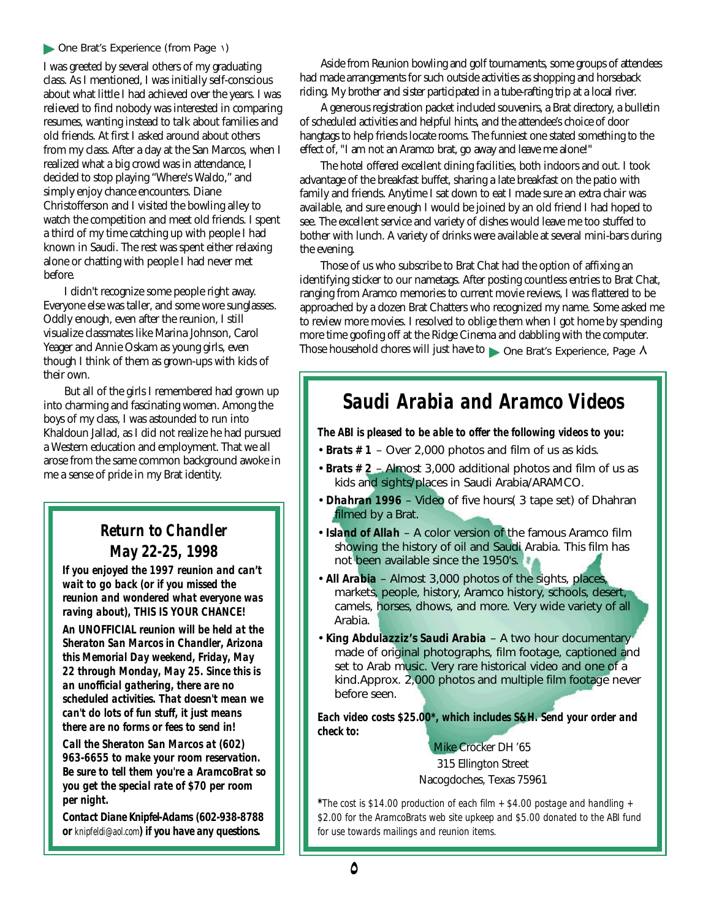#### **Cone Brat's Experience (from Page \)**

I was greeted by several others of my graduating class. As I mentioned, I was initially self-conscious about what little I had achieved over the years. I was relieved to find nobody was interested in comparing resumes, wanting instead to talk about families and old friends. At first I asked around about others from my class. After a day at the San Marcos, when I realized what a big crowd was in attendance, I decided to stop playing "Where's Waldo," and simply enjoy chance encounters. Diane Christofferson and I visited the bowling alley to watch the competition and meet old friends. I spent a third of my time catching up with people I had known in Saudi. The rest was spent either relaxing alone or chatting with people I had never met before.

I didn't recognize some people right away. Everyone else was taller, and some wore sunglasses. Oddly enough, even after the reunion, I still visualize classmates like Marina Johnson, Carol Yeager and Annie Oskam as young girls, even though I think of them as grown-ups with kids of their own.

But all of the girls I remembered had grown up into charming and fascinating women. Among the boys of my class, I was astounded to run into Khaldoun Jallad, as I did not realize he had pursued a Western education and employment. That we all arose from the same common background awoke in me a sense of pride in my Brat identity.

## *Return to Chandler May 22-25, 1998*

*If you enjoyed the 1997 reunion and can't wait to go back (or if you missed the reunion and wondered what everyone was raving about), THIS IS YOUR CHANCE!*

*An UNOFFICIAL reunion will be held at the Sheraton San Marcos in Chandler, Arizona this Memorial Day weekend, Friday, May 22 through Monday, May 25. Since this is an unofficial gathering, there are no scheduled activities. That doesn't mean we can't do lots of fun stuff, it just means there are no forms or fees to send in!* 

*Call the Sheraton San Marcos at (602) 963-6655 to make your room reservation. Be sure to tell them you're a AramcoBrat so you get the special rate of \$70 per room per night.*

*Contact Diane Knipfel-Adams (602-938-8788 or* knipfeldi@aol.com) if you have any questions.

Aside from Reunion bowling and golf tournaments, some groups of attendees had made arrangements for such outside activities as shopping and horseback riding. My brother and sister participated in a tube-rafting trip at a local river.

A generous registration packet included souvenirs, a Brat directory, a bulletin of scheduled activities and helpful hints, and the attendee's choice of door hangtags to help friends locate rooms. The funniest one stated something to the effect of, "I am not an Aramco brat, go away and leave me alone!"

The hotel offered excellent dining facilities, both indoors and out. I took advantage of the breakfast buffet, sharing a late breakfast on the patio with family and friends. Anytime I sat down to eat I made sure an extra chair was available, and sure enough I would be joined by an old friend I had hoped to see. The excellent service and variety of dishes would leave me too stuffed to bother with lunch. A variety of drinks were available at several mini-bars during the evening.

Those of us who subscribe to Brat Chat had the option of affixing an identifying sticker to our nametags. After posting countless entries to Brat Chat, ranging from Aramco memories to current movie reviews, I was flattered to be approached by a dozen Brat Chatters who recognized my name. Some asked me to review more movies. I resolved to oblige them when I got home by spending more time goofing off at the Ridge Cinema and dabbling with the computer. Those household chores will just have to **p** One Brat's Experience, Page A

# *Saudi Arabia and Aramco Videos*

*The ABI is pleased to be able to offer the following videos to you:*

- *Brats # 1* Over 2,000 photos and film of us as kids.
- •*Brats # 2* Almost 3,000 additional photos and film of us as kids and sights/places in Saudi Arabia/ARAMCO.
- *Dhahran 1996*  Video of five hours( 3 tape set) of Dhahran filmed by a Brat.
- *Island of Allah*  A color version of the famous Aramco film showing the history of oil and Saudi Arabia. This film has not been available since the 1950's.
- *All Arabia*  Almost 3,000 photos of the sights, places, markets, people, history, Aramco history, schools, desert, camels, horses, dhows, and more. Very wide variety of all Arabia.
- *King Abdulazziz's Saudi Arabia*  A two hour documentary made of original photographs, film footage, captioned and set to Arab music. Very rare historical video and one of a kind.Approx. 2,000 photos and multiple film footage never before seen.

*Each video costs \$25.00\*, which includes S&H. Send your order and check to:*

> Mike Crocker DH '65 315 Ellington Street Nacogdoches, Texas 75961

*\*The cost is \$14.00 production of each film + \$4.00 postage and handling + \$2.00 for the AramcoBrats web site upkeep and \$5.00 donated to the ABI fund for use towards mailings and reunion items.*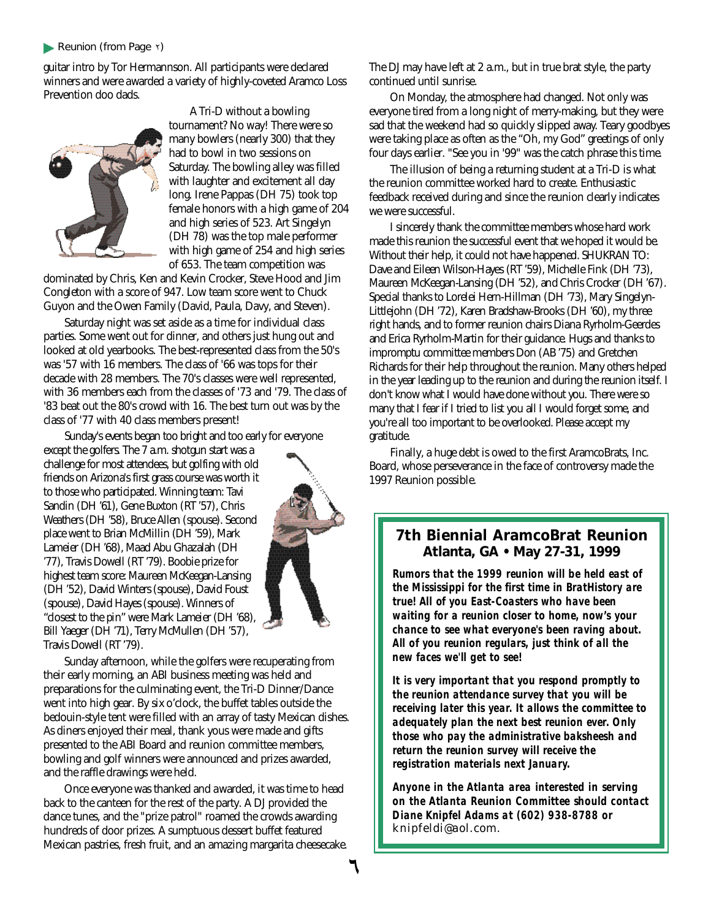#### *Reunion (from Page* ²*)*

guitar intro by Tor Hermannson. All participants were declared winners and were awarded a variety of highly-coveted Aramco Loss Prevention doo dads.



A Tri-D without a bowling tournament? No way! There were so many bowlers (nearly 300) that they had to bowl in two sessions on Saturday. The bowling alley was filled with laughter and excitement all day long. Irene Pappas (DH 75) took top female honors with a high game of 204 and high series of 523. Art Singelyn (DH 78) was the top male performer with high game of 254 and high series of 653. The team competition was

dominated by Chris, Ken and Kevin Crocker, Steve Hood and Jim Congleton with a score of 947. Low team score went to Chuck Guyon and the Owen Family (David, Paula, Davy, and Steven).

Saturday night was set aside as a time for individual class parties. Some went out for dinner, and others just hung out and looked at old yearbooks. The best-represented class from the 50's was '57 with 16 members. The class of '66 was tops for their decade with 28 members. The 70's classes were well represented, with 36 members each from the classes of '73 and '79. The class of '83 beat out the 80's crowd with 16. The best turn out was by the class of '77 with 40 class members present!

Sunday's events began too bright and too early for everyone

except the golfers. The 7 a.m. shotgun start was a challenge for most attendees, but golfing with old friends on Arizona's first grass course was worth it to those who participated. Winning team: Tavi Sandin (DH '61), Gene Buxton (RT '57), Chris Weathers (DH '58), Bruce Allen (spouse). Second place went to Brian McMillin (DH '59), Mark Lameier (DH '68), Maad Abu Ghazalah (DH '77), Travis Dowell (RT '79). Boobie prize for highest team score: Maureen McKeegan-Lansing (DH '52), David Winters (spouse), David Foust (spouse), David Hayes (spouse). Winners of "closest to the pin" were Mark Lameier (DH '68), Bill Yaeger (DH '71), Terry McMullen (DH '57), Travis Dowell (RT '79).



Sunday afternoon, while the golfers were recuperating from their early morning, an ABI business meeting was held and preparations for the culminating event, the Tri-D Dinner/Dance went into high gear. By six o'clock, the buffet tables outside the bedouin-style tent were filled with an array of tasty Mexican dishes. As diners enjoyed their meal, thank yous were made and gifts presented to the ABI Board and reunion committee members, bowling and golf winners were announced and prizes awarded, and the raffle drawings were held.

Once everyone was thanked and awarded, it was time to head back to the canteen for the rest of the party. A DJ provided the dance tunes, and the "prize patrol" roamed the crowds awarding hundreds of door prizes. A sumptuous dessert buffet featured Mexican pastries, fresh fruit, and an amazing margarita cheesecake. The DJ may have left at 2 a.m., but in true brat style, the party continued until sunrise.

On Monday, the atmosphere had changed. Not only was everyone tired from a long night of merry-making, but they were sad that the weekend had so quickly slipped away. Teary goodbyes were taking place as often as the "Oh, my God" greetings of only four days earlier. "See you in '99" was the catch phrase this time.

The illusion of being a returning student at a Tri-D is what the reunion committee worked hard to create. Enthusiastic feedback received during and since the reunion clearly indicates we were successful.

I sincerely thank the committee members whose hard work made this reunion the successful event that we hoped it would be. Without their help, it could not have happened. SHUKRAN TO: Dave and Eileen Wilson-Hayes (RT '59), Michelle Fink (DH '73), Maureen McKeegan-Lansing (DH '52), and Chris Crocker (DH '67). Special thanks to Lorelei Hern-Hillman (DH '73), Mary Singelyn-Littlejohn (DH '72), Karen Bradshaw-Brooks (DH '60), my three right hands, and to former reunion chairs Diana Ryrholm-Geerdes and Erica Ryrholm-Martin for their guidance. Hugs and thanks to impromptu committee members Don (AB '75) and Gretchen Richards for their help throughout the reunion. Many others helped in the year leading up to the reunion and during the reunion itself. I don't know what I would have done without you. There were so many that I fear if I tried to list you all I would forget some, and you're all too important to be overlooked. Please accept my gratitude.

Finally, a huge debt is owed to the first AramcoBrats, Inc. Board, whose perseverance in the face of controversy made the 1997 Reunion possible.

### **7th Biennial AramcoBrat Reunion Atlanta, GA • May 27-31, 1999**

*Rumors that the 1999 reunion will be held east of the Mississippi for the first time in BratHistory are t rue! All of you East-Coasters who have been waiting for a reunion closer to home, now's your chance to see what everyone's been raving about. All of you reunion regulars, just think of all the new faces we'll get to see!*

*It is very important that you respond promptly to the reunion attendance survey that you will be receiving later this year. It allows the committee to adequately plan the next best reunion ever. Only those who pay the administrative baksheesh and* return the reunion survey will receive the *registration materials next January.*

Anyone in the Atlanta area interested in serving *on the Atlanta Reunion Committee should contact Diane Knipfel Adams at (602) 938-8788 or* knipfeldi@aol.com.

¶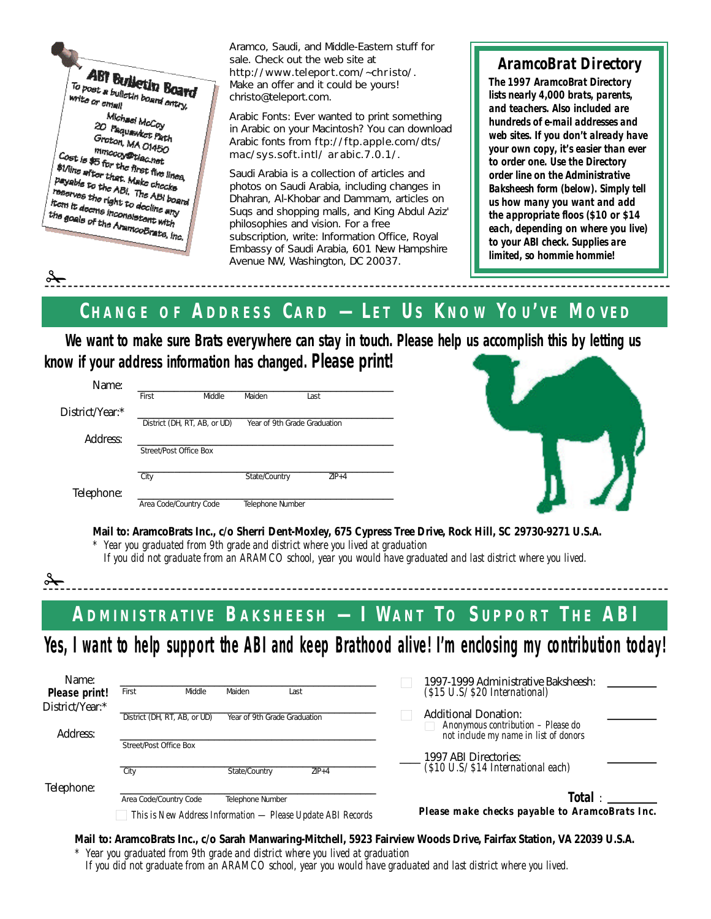

 $\frac{1}{2}$ 

 $\frac{1}{2}$ 

Aramco, Saudi, and Middle-Eastern stuff for sale. Check out the web site at http://www.teleport.com/~christo/. Make an offer and it could be yours! christo@teleport.com.

Arabic Fonts: Ever wanted to print something in Arabic on your Macintosh? You can download Arabic fonts from ftp://ftp.apple.com/dts/ mac/sys.soft.intl/ arabic.7.0.1/.

*Saudi Arabia* is a collection of articles and photos on Saudi Arabia, including changes in Dhahran, Al-Khobar and Dammam, articles on Suqs and shopping malls, and King Abdul Aziz' philosophies and vision. For a free subscription, write: Information Office, Royal Embassy of Saudi Arabia, 601 New Hampshire Avenue NW, Washington, DC 20037.

## *AramcoBrat Directory*

*The 1997 AramcoBrat Directory lists nearly 4,000 brats, parents, and teachers. Also included are hundreds of e-mail addresses and web sites. If you don't already have your own copy, it's easier than ever to order one. Use the Directory order line on the Administrative Baksheesh form (below). Simply tell us how many you want and add the appropriate floos (\$10 or \$14 each, depending on where you live) to your ABI check. Supplies are limited, so hommie hommie!*

# CHANGE OF ADDRESS CARD - LET US KNOW YOU'VE MOVED

**We want to make sure Brats everywhere can stay in touch. Please help us accomplish this by letting us know if your address information has changed. Please print!**

| Name:           |                              |        |                  |                              |  |
|-----------------|------------------------------|--------|------------------|------------------------------|--|
|                 | First                        | Middle | Maiden           | Last                         |  |
| District/Year:* |                              |        |                  |                              |  |
|                 | District (DH, RT, AB, or UD) |        |                  | Year of 9th Grade Graduation |  |
| Address:        |                              |        |                  |                              |  |
|                 | Street/Post Office Box       |        |                  |                              |  |
|                 |                              |        |                  |                              |  |
|                 | City                         |        | State/Country    | $ZIP+4$                      |  |
| Telephone:      |                              |        |                  |                              |  |
|                 | Area Code/Country Code       |        | Telephone Number |                              |  |



**Mail to: AramcoBrats Inc., c/o Sherri Dent-Moxley, 675 Cypress Tree Drive, Rock Hill, SC 29730-9271 U.S.A.**

*\* Year you graduated from 9th grade and district where you lived at graduation*

*If you did not graduate from an ARAMCO school, year you would have graduated and last district where you lived.*

ADMINISTRATIVE BAKSHEESH - I WANT TO SUPPORT THE ABI

Yes, I want to help support the ABI and keep Brathood alive! I'm enclosing my contribution today!

| Name:           |                              |                              |                                                             | 1997-1999 Administrative Baksheesh:                                                                        |
|-----------------|------------------------------|------------------------------|-------------------------------------------------------------|------------------------------------------------------------------------------------------------------------|
| Please print!   | Middle<br>First              | Maiden                       | Last                                                        | (\$15 U.S/ \$20 International)                                                                             |
| District/Year:* |                              |                              |                                                             |                                                                                                            |
| Address:        | District (DH, RT, AB, or UD) | Year of 9th Grade Graduation |                                                             | <b>Additional Donation:</b><br>Anonymous contribution - Please do<br>not include my name in list of donors |
|                 | Street/Post Office Box       |                              |                                                             |                                                                                                            |
|                 |                              |                              |                                                             | 1997 ABI Directories:                                                                                      |
|                 | City                         | State/Country                | $ZIP+4$                                                     | (\$10 U.S/ \$14 International each)                                                                        |
| Telephone:      |                              |                              |                                                             |                                                                                                            |
|                 | Area Code/Country Code       | Telephone Number             |                                                             | <b>Total</b> :                                                                                             |
|                 |                              |                              | This is New Address Information — Please Update ABI Records | Please make checks payable to AramcoBrats Inc.                                                             |

**Mail to: AramcoBrats Inc., c/o Sarah Manwaring-Mitchell, 5923 Fairview Woods Drive, Fairfax Station, VA 22039 U.S.A.**

*\* Year you graduated from 9th grade and district where you lived at graduation*

*If you did not graduate from an ARAMCO school, year you would have graduated and last district where you lived.*